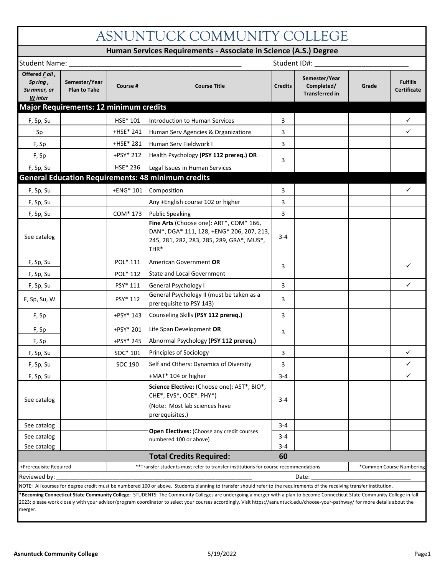| ASNUNTUCK COMMUNITY COLLEGE                           |                                               |           |                                                                                                                                                                                                                                                                                                                                                              |                |                                                      |       |                                       |  |  |  |
|-------------------------------------------------------|-----------------------------------------------|-----------|--------------------------------------------------------------------------------------------------------------------------------------------------------------------------------------------------------------------------------------------------------------------------------------------------------------------------------------------------------------|----------------|------------------------------------------------------|-------|---------------------------------------|--|--|--|
|                                                       |                                               |           | Human Services Requirements - Associate in Science (A.S.) Degree                                                                                                                                                                                                                                                                                             |                |                                                      |       |                                       |  |  |  |
| <b>Student Name:</b>                                  |                                               |           | Student ID#:                                                                                                                                                                                                                                                                                                                                                 |                |                                                      |       |                                       |  |  |  |
| Offered Fall,<br>$Sp$ ring,<br>Su mmer, or<br>W inter | Semester/Year<br><b>Plan to Take</b>          | Course #  | <b>Course Title</b>                                                                                                                                                                                                                                                                                                                                          | <b>Credits</b> | Semester/Year<br>Completed/<br><b>Transferred in</b> | Grade | <b>Fulfills</b><br><b>Certificate</b> |  |  |  |
|                                                       | <b>Major Requirements: 12 minimum credits</b> |           |                                                                                                                                                                                                                                                                                                                                                              |                |                                                      |       |                                       |  |  |  |
| F, Sp, Su                                             |                                               | HSE* 101  | Introduction to Human Services                                                                                                                                                                                                                                                                                                                               | 3              |                                                      |       | ✓                                     |  |  |  |
| Sp                                                    |                                               | +HSE* 241 | Human Serv Agencies & Organizations                                                                                                                                                                                                                                                                                                                          | 3              |                                                      |       | ✓                                     |  |  |  |
| F, Sp                                                 |                                               | +HSE* 281 | Human Serv Fieldwork I                                                                                                                                                                                                                                                                                                                                       | 3              |                                                      |       |                                       |  |  |  |
| F, Sp                                                 |                                               | +PSY* 212 | Health Psychology (PSY 112 prereq.) OR                                                                                                                                                                                                                                                                                                                       |                |                                                      |       |                                       |  |  |  |
| F, Sp, Su                                             |                                               | HSE* 236  | Legal Issues in Human Services                                                                                                                                                                                                                                                                                                                               | 3              |                                                      |       |                                       |  |  |  |
|                                                       |                                               |           | <b>General Education Requirements: 48 minimum credits</b>                                                                                                                                                                                                                                                                                                    |                |                                                      |       |                                       |  |  |  |
| F, Sp, Su                                             |                                               | +ENG* 101 | Composition                                                                                                                                                                                                                                                                                                                                                  | 3              |                                                      |       | ✓                                     |  |  |  |
| F, Sp, Su                                             |                                               |           | Any +English course 102 or higher                                                                                                                                                                                                                                                                                                                            | 3              |                                                      |       |                                       |  |  |  |
| F, Sp, Su                                             |                                               | COM* 173  | <b>Public Speaking</b>                                                                                                                                                                                                                                                                                                                                       | 3              |                                                      |       |                                       |  |  |  |
| See catalog                                           |                                               |           | Fine Arts (Choose one): ART*, COM* 166,<br>DAN*, DGA* 111, 128, +ENG* 206, 207, 213,<br>245, 281, 282, 283, 285, 289, GRA*, MUS*,<br>THR*                                                                                                                                                                                                                    | $3 - 4$        |                                                      |       |                                       |  |  |  |
| F, Sp, Su                                             |                                               | POL* 111  | American Government OR                                                                                                                                                                                                                                                                                                                                       |                |                                                      |       | ✓                                     |  |  |  |
| F, Sp, Su                                             |                                               | POL* 112  | <b>State and Local Government</b>                                                                                                                                                                                                                                                                                                                            | 3              |                                                      |       |                                       |  |  |  |
| F, Sp, Su                                             |                                               | PSY* 111  | General Psychology I                                                                                                                                                                                                                                                                                                                                         | 3              |                                                      |       | ✓                                     |  |  |  |
| F, Sp, Su, W                                          |                                               | PSY* 112  | General Psychology II (must be taken as a<br>prerequisite to PSY 143)                                                                                                                                                                                                                                                                                        | 3              |                                                      |       |                                       |  |  |  |
| F, Sp                                                 |                                               | +PSY* 143 | Counseling Skills (PSY 112 prereq.)                                                                                                                                                                                                                                                                                                                          | 3              |                                                      |       |                                       |  |  |  |
| F, Sp                                                 |                                               | +PSY* 201 | Life Span Development OR                                                                                                                                                                                                                                                                                                                                     | 3              |                                                      |       |                                       |  |  |  |
| F, Sp                                                 |                                               | +PSY* 245 | Abnormal Psychology (PSY 112 prereq.)                                                                                                                                                                                                                                                                                                                        |                |                                                      |       |                                       |  |  |  |
| F, Sp, Su                                             |                                               | SOC* 101  | Principles of Sociology                                                                                                                                                                                                                                                                                                                                      | 3              |                                                      |       |                                       |  |  |  |
| F, Sp, Su                                             |                                               | SOC 190   | Self and Others: Dynamics of Diversity                                                                                                                                                                                                                                                                                                                       | 3              |                                                      |       | ✓                                     |  |  |  |
| F, Sp, Su                                             |                                               |           | +MAT* 104 or higher                                                                                                                                                                                                                                                                                                                                          | $3 - 4$        |                                                      |       | ✓                                     |  |  |  |
| See catalog                                           |                                               |           | Science Elective: (Choose one): AST*, BIO*,<br>CHE*, EVS*, OCE*. PHY*)<br>(Note: Most lab sciences have<br>prerequisites.)                                                                                                                                                                                                                                   | $3 - 4$        |                                                      |       |                                       |  |  |  |
| See catalog                                           |                                               |           | Open Electives: (Choose any credit courses                                                                                                                                                                                                                                                                                                                   | $3 - 4$        |                                                      |       |                                       |  |  |  |
| See catalog                                           |                                               |           | numbered 100 or above)                                                                                                                                                                                                                                                                                                                                       | 3-4            |                                                      |       |                                       |  |  |  |
| See catalog                                           |                                               |           |                                                                                                                                                                                                                                                                                                                                                              | 3-4            |                                                      |       |                                       |  |  |  |
|                                                       |                                               |           | <b>Total Credits Required:</b>                                                                                                                                                                                                                                                                                                                               | 60             |                                                      |       |                                       |  |  |  |
| +Prerequisite Required                                |                                               |           | **Transfer students must refer to transfer institutions for course recommendations<br>*Common Course Numbering                                                                                                                                                                                                                                               |                |                                                      |       |                                       |  |  |  |
| Reviewed by:                                          |                                               |           | NOTE: All courses for degree credit must be numbered 100 or above. Students planning to transfer should refer to the requirements of the receiving transfer institution.                                                                                                                                                                                     |                | Date:                                                |       |                                       |  |  |  |
| merger.                                               |                                               |           | *Becoming Connecticut State Community College: STUDENTS: The Community Colleges are undergoing a merger with a plan to become Connecticut State Community College in fall<br>2023; please work closely with your advisor/program coordinator to select your courses accordingly. Visit https://asnuntuck.edu/choose-your-pathway/ for more details about the |                |                                                      |       |                                       |  |  |  |